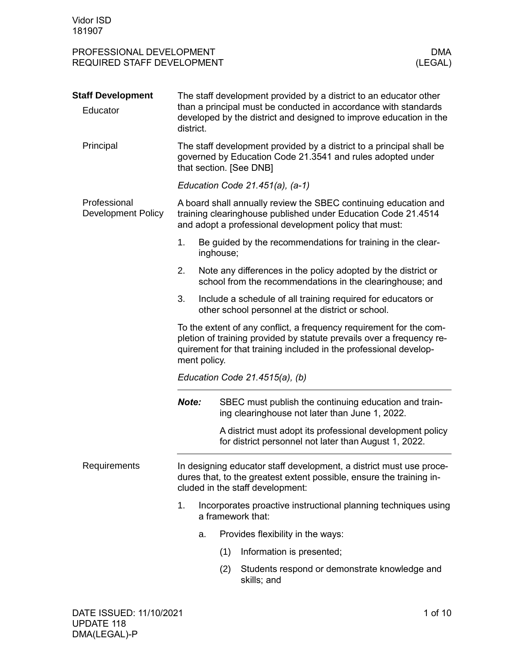| PROFESSIONAL DEVELOPMENT<br>REQUIRED STAFF DEVELOPMENT |                                                                                                                                                                                                                                   |                                                                                                                            |                                                                                                                                                                                                            | <b>DMA</b><br>(LEGAL) |  |
|--------------------------------------------------------|-----------------------------------------------------------------------------------------------------------------------------------------------------------------------------------------------------------------------------------|----------------------------------------------------------------------------------------------------------------------------|------------------------------------------------------------------------------------------------------------------------------------------------------------------------------------------------------------|-----------------------|--|
| <b>Staff Development</b><br>Educator                   | district.                                                                                                                                                                                                                         |                                                                                                                            | The staff development provided by a district to an educator other<br>than a principal must be conducted in accordance with standards<br>developed by the district and designed to improve education in the |                       |  |
| Principal                                              | The staff development provided by a district to a principal shall be<br>governed by Education Code 21.3541 and rules adopted under<br>that section. [See DNB]                                                                     |                                                                                                                            |                                                                                                                                                                                                            |                       |  |
|                                                        |                                                                                                                                                                                                                                   |                                                                                                                            | Education Code $21.451(a)$ , $(a-1)$                                                                                                                                                                       |                       |  |
| Professional<br><b>Development Policy</b>              |                                                                                                                                                                                                                                   |                                                                                                                            | A board shall annually review the SBEC continuing education and<br>training clearinghouse published under Education Code 21.4514<br>and adopt a professional development policy that must:                 |                       |  |
|                                                        | 1.                                                                                                                                                                                                                                | inghouse;                                                                                                                  | Be guided by the recommendations for training in the clear-                                                                                                                                                |                       |  |
|                                                        | 2.                                                                                                                                                                                                                                | Note any differences in the policy adopted by the district or<br>school from the recommendations in the clearinghouse; and |                                                                                                                                                                                                            |                       |  |
|                                                        | 3.<br>other school personnel at the district or school.                                                                                                                                                                           | Include a schedule of all training required for educators or                                                               |                                                                                                                                                                                                            |                       |  |
|                                                        | To the extent of any conflict, a frequency requirement for the com-<br>pletion of training provided by statute prevails over a frequency re-<br>quirement for that training included in the professional develop-<br>ment policy. |                                                                                                                            |                                                                                                                                                                                                            |                       |  |
|                                                        | Education Code 21.4515(a), (b)                                                                                                                                                                                                    |                                                                                                                            |                                                                                                                                                                                                            |                       |  |
|                                                        | Note:                                                                                                                                                                                                                             |                                                                                                                            | SBEC must publish the continuing education and train-<br>ing clearinghouse not later than June 1, 2022.                                                                                                    |                       |  |
|                                                        |                                                                                                                                                                                                                                   |                                                                                                                            | A district must adopt its professional development policy<br>for district personnel not later than August 1, 2022.                                                                                         |                       |  |
| Requirements                                           | In designing educator staff development, a district must use proce-<br>dures that, to the greatest extent possible, ensure the training in-<br>cluded in the staff development:                                                   |                                                                                                                            |                                                                                                                                                                                                            |                       |  |
|                                                        | 1.<br>Incorporates proactive instructional planning techniques using<br>a framework that:                                                                                                                                         |                                                                                                                            |                                                                                                                                                                                                            |                       |  |
|                                                        | a.                                                                                                                                                                                                                                |                                                                                                                            | Provides flexibility in the ways:                                                                                                                                                                          |                       |  |
|                                                        |                                                                                                                                                                                                                                   | (1)                                                                                                                        | Information is presented;                                                                                                                                                                                  |                       |  |
|                                                        |                                                                                                                                                                                                                                   | (2)                                                                                                                        | Students respond or demonstrate knowledge and<br>skills; and                                                                                                                                               |                       |  |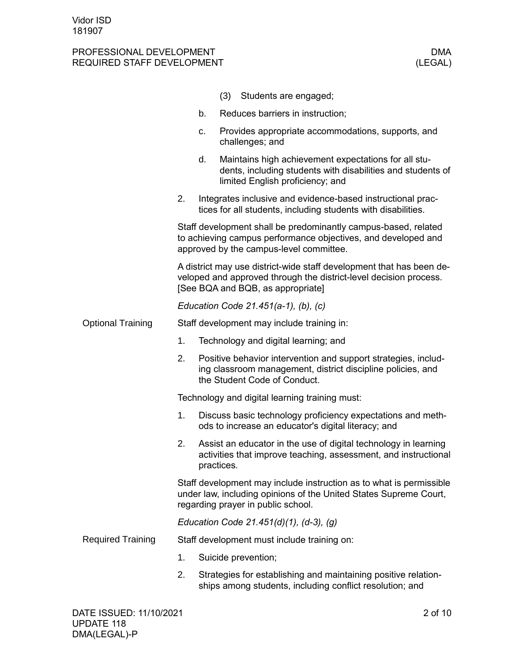|                          |                                                                                                                                                                                | Students are engaged;<br>(3)                                                                                                                            |  |  |  |
|--------------------------|--------------------------------------------------------------------------------------------------------------------------------------------------------------------------------|---------------------------------------------------------------------------------------------------------------------------------------------------------|--|--|--|
|                          | b.                                                                                                                                                                             | Reduces barriers in instruction;                                                                                                                        |  |  |  |
|                          | C.                                                                                                                                                                             | Provides appropriate accommodations, supports, and<br>challenges; and                                                                                   |  |  |  |
|                          | d.                                                                                                                                                                             | Maintains high achievement expectations for all stu-<br>dents, including students with disabilities and students of<br>limited English proficiency; and |  |  |  |
|                          | 2.                                                                                                                                                                             | Integrates inclusive and evidence-based instructional prac-<br>tices for all students, including students with disabilities.                            |  |  |  |
|                          | Staff development shall be predominantly campus-based, related<br>to achieving campus performance objectives, and developed and<br>approved by the campus-level committee.     |                                                                                                                                                         |  |  |  |
|                          | A district may use district-wide staff development that has been de-<br>veloped and approved through the district-level decision process.<br>[See BQA and BQB, as appropriate] |                                                                                                                                                         |  |  |  |
|                          | Education Code 21.451(a-1), (b), (c)                                                                                                                                           |                                                                                                                                                         |  |  |  |
| <b>Optional Training</b> | Staff development may include training in:                                                                                                                                     |                                                                                                                                                         |  |  |  |
|                          | 1.<br>Technology and digital learning; and                                                                                                                                     |                                                                                                                                                         |  |  |  |
|                          | 2.<br>Positive behavior intervention and support strategies, includ-<br>ing classroom management, district discipline policies, and<br>the Student Code of Conduct.            |                                                                                                                                                         |  |  |  |
|                          | Technology and digital learning training must:                                                                                                                                 |                                                                                                                                                         |  |  |  |
|                          | 1.                                                                                                                                                                             | Discuss basic technology proficiency expectations and meth-<br>ods to increase an educator's digital literacy; and                                      |  |  |  |
|                          | 2.                                                                                                                                                                             | Assist an educator in the use of digital technology in learning<br>activities that improve teaching, assessment, and instructional<br>practices.        |  |  |  |
|                          | Staff development may include instruction as to what is permissible<br>under law, including opinions of the United States Supreme Court,<br>regarding prayer in public school. |                                                                                                                                                         |  |  |  |
|                          |                                                                                                                                                                                | Education Code 21.451(d)(1), (d-3), (g)                                                                                                                 |  |  |  |
| <b>Required Training</b> | Staff development must include training on:                                                                                                                                    |                                                                                                                                                         |  |  |  |
|                          | 1.                                                                                                                                                                             | Suicide prevention;                                                                                                                                     |  |  |  |
|                          | 2.                                                                                                                                                                             | Strategies for establishing and maintaining positive relation-<br>ships among students, including conflict resolution; and                              |  |  |  |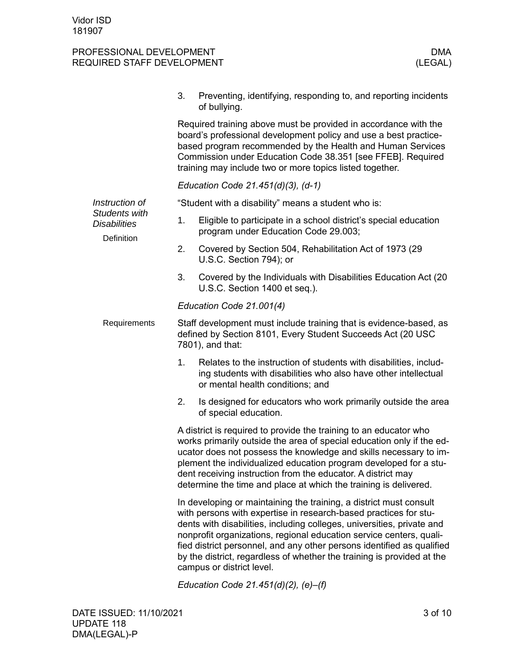|              |                                                                                                                                                                                                                                                                                                                                                                                                                                                                          | 3.                                                                                                                                                                                                                                                                                                                           | Preventing, identifying, responding to, and reporting incidents<br>of bullying.                          |  |  |
|--------------|--------------------------------------------------------------------------------------------------------------------------------------------------------------------------------------------------------------------------------------------------------------------------------------------------------------------------------------------------------------------------------------------------------------------------------------------------------------------------|------------------------------------------------------------------------------------------------------------------------------------------------------------------------------------------------------------------------------------------------------------------------------------------------------------------------------|----------------------------------------------------------------------------------------------------------|--|--|
|              |                                                                                                                                                                                                                                                                                                                                                                                                                                                                          | Required training above must be provided in accordance with the<br>board's professional development policy and use a best practice-<br>based program recommended by the Health and Human Services<br>Commission under Education Code 38.351 [see FFEB]. Required<br>training may include two or more topics listed together. |                                                                                                          |  |  |
|              |                                                                                                                                                                                                                                                                                                                                                                                                                                                                          | Education Code $21.451(d)(3)$ , $(d-1)$                                                                                                                                                                                                                                                                                      |                                                                                                          |  |  |
|              | Instruction of                                                                                                                                                                                                                                                                                                                                                                                                                                                           | "Student with a disability" means a student who is:                                                                                                                                                                                                                                                                          |                                                                                                          |  |  |
|              | Students with<br><b>Disabilities</b><br>Definition                                                                                                                                                                                                                                                                                                                                                                                                                       | 1.                                                                                                                                                                                                                                                                                                                           | Eligible to participate in a school district's special education<br>program under Education Code 29.003; |  |  |
|              |                                                                                                                                                                                                                                                                                                                                                                                                                                                                          | 2.                                                                                                                                                                                                                                                                                                                           | Covered by Section 504, Rehabilitation Act of 1973 (29<br>U.S.C. Section 794); or                        |  |  |
|              |                                                                                                                                                                                                                                                                                                                                                                                                                                                                          | 3.                                                                                                                                                                                                                                                                                                                           | Covered by the Individuals with Disabilities Education Act (20<br>U.S.C. Section 1400 et seq.).          |  |  |
|              |                                                                                                                                                                                                                                                                                                                                                                                                                                                                          |                                                                                                                                                                                                                                                                                                                              | Education Code 21.001(4)                                                                                 |  |  |
| Requirements |                                                                                                                                                                                                                                                                                                                                                                                                                                                                          | Staff development must include training that is evidence-based, as<br>defined by Section 8101, Every Student Succeeds Act (20 USC<br>7801), and that:                                                                                                                                                                        |                                                                                                          |  |  |
|              | 1.                                                                                                                                                                                                                                                                                                                                                                                                                                                                       | Relates to the instruction of students with disabilities, includ-<br>ing students with disabilities who also have other intellectual<br>or mental health conditions; and                                                                                                                                                     |                                                                                                          |  |  |
|              |                                                                                                                                                                                                                                                                                                                                                                                                                                                                          | 2.                                                                                                                                                                                                                                                                                                                           | Is designed for educators who work primarily outside the area<br>of special education.                   |  |  |
|              | A district is required to provide the training to an educator who<br>works primarily outside the area of special education only if the ed-<br>ucator does not possess the knowledge and skills necessary to im-<br>plement the individualized education program developed for a stu-<br>dent receiving instruction from the educator. A district may<br>determine the time and place at which the training is delivered.                                                 |                                                                                                                                                                                                                                                                                                                              |                                                                                                          |  |  |
|              | In developing or maintaining the training, a district must consult<br>with persons with expertise in research-based practices for stu-<br>dents with disabilities, including colleges, universities, private and<br>nonprofit organizations, regional education service centers, quali-<br>fied district personnel, and any other persons identified as qualified<br>by the district, regardless of whether the training is provided at the<br>campus or district level. |                                                                                                                                                                                                                                                                                                                              |                                                                                                          |  |  |
|              |                                                                                                                                                                                                                                                                                                                                                                                                                                                                          |                                                                                                                                                                                                                                                                                                                              | $4F - 4(1.1)$                                                                                            |  |  |

*Education Code 21.451(d)(2), (e)–(f)*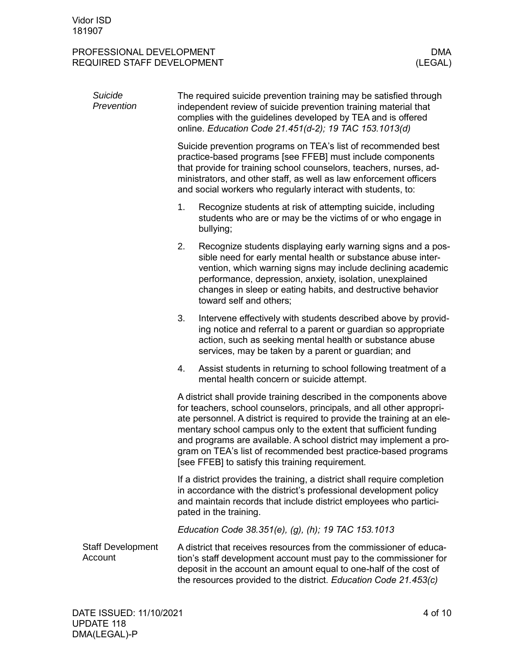| Suicide<br>Prevention               | The required suicide prevention training may be satisfied through<br>independent review of suicide prevention training material that<br>complies with the guidelines developed by TEA and is offered<br>online. Education Code 21.451(d-2); 19 TAC 153.1013(d)                                                                                                                                                                                                                          |  |  |  |
|-------------------------------------|-----------------------------------------------------------------------------------------------------------------------------------------------------------------------------------------------------------------------------------------------------------------------------------------------------------------------------------------------------------------------------------------------------------------------------------------------------------------------------------------|--|--|--|
|                                     | Suicide prevention programs on TEA's list of recommended best<br>practice-based programs [see FFEB] must include components<br>that provide for training school counselors, teachers, nurses, ad-<br>ministrators, and other staff, as well as law enforcement officers<br>and social workers who regularly interact with students, to:                                                                                                                                                 |  |  |  |
|                                     | 1.<br>Recognize students at risk of attempting suicide, including<br>students who are or may be the victims of or who engage in<br>bullying;                                                                                                                                                                                                                                                                                                                                            |  |  |  |
|                                     | 2.<br>Recognize students displaying early warning signs and a pos-<br>sible need for early mental health or substance abuse inter-<br>vention, which warning signs may include declining academic<br>performance, depression, anxiety, isolation, unexplained<br>changes in sleep or eating habits, and destructive behavior<br>toward self and others;                                                                                                                                 |  |  |  |
|                                     | 3.<br>Intervene effectively with students described above by provid-<br>ing notice and referral to a parent or guardian so appropriate<br>action, such as seeking mental health or substance abuse<br>services, may be taken by a parent or guardian; and                                                                                                                                                                                                                               |  |  |  |
|                                     | Assist students in returning to school following treatment of a<br>4.<br>mental health concern or suicide attempt.                                                                                                                                                                                                                                                                                                                                                                      |  |  |  |
|                                     | A district shall provide training described in the components above<br>for teachers, school counselors, principals, and all other appropri-<br>ate personnel. A district is required to provide the training at an ele-<br>mentary school campus only to the extent that sufficient funding<br>and programs are available. A school district may implement a pro-<br>gram on TEA's list of recommended best practice-based programs<br>[see FFEB] to satisfy this training requirement. |  |  |  |
|                                     | If a district provides the training, a district shall require completion<br>in accordance with the district's professional development policy<br>and maintain records that include district employees who partici-<br>pated in the training.                                                                                                                                                                                                                                            |  |  |  |
|                                     | Education Code 38.351(e), (g), (h); 19 TAC 153.1013                                                                                                                                                                                                                                                                                                                                                                                                                                     |  |  |  |
| <b>Staff Development</b><br>Account | A district that receives resources from the commissioner of educa-<br>tion's staff development account must pay to the commissioner for<br>deposit in the account an amount equal to one-half of the cost of<br>the resources provided to the district. Education Code 21.453(c)                                                                                                                                                                                                        |  |  |  |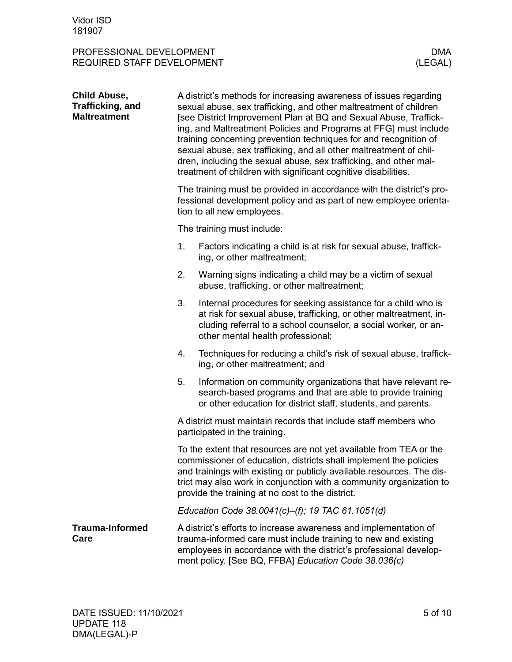| <b>Child Abuse,</b><br>Trafficking, and<br><b>Maltreatment</b> | A district's methods for increasing awareness of issues regarding<br>sexual abuse, sex trafficking, and other maltreatment of children<br>[see District Improvement Plan at BQ and Sexual Abuse, Traffick-<br>ing, and Maltreatment Policies and Programs at FFG] must include<br>training concerning prevention techniques for and recognition of<br>sexual abuse, sex trafficking, and all other maltreatment of chil-<br>dren, including the sexual abuse, sex trafficking, and other mal-<br>treatment of children with significant cognitive disabilities. |                                                                                                                                                                                                                                                                                                                                             |  |  |  |
|----------------------------------------------------------------|-----------------------------------------------------------------------------------------------------------------------------------------------------------------------------------------------------------------------------------------------------------------------------------------------------------------------------------------------------------------------------------------------------------------------------------------------------------------------------------------------------------------------------------------------------------------|---------------------------------------------------------------------------------------------------------------------------------------------------------------------------------------------------------------------------------------------------------------------------------------------------------------------------------------------|--|--|--|
|                                                                |                                                                                                                                                                                                                                                                                                                                                                                                                                                                                                                                                                 | The training must be provided in accordance with the district's pro-<br>fessional development policy and as part of new employee orienta-<br>tion to all new employees.                                                                                                                                                                     |  |  |  |
|                                                                |                                                                                                                                                                                                                                                                                                                                                                                                                                                                                                                                                                 | The training must include:                                                                                                                                                                                                                                                                                                                  |  |  |  |
|                                                                | 1.                                                                                                                                                                                                                                                                                                                                                                                                                                                                                                                                                              | Factors indicating a child is at risk for sexual abuse, traffick-<br>ing, or other maltreatment;                                                                                                                                                                                                                                            |  |  |  |
|                                                                | 2.                                                                                                                                                                                                                                                                                                                                                                                                                                                                                                                                                              | Warning signs indicating a child may be a victim of sexual<br>abuse, trafficking, or other maltreatment;                                                                                                                                                                                                                                    |  |  |  |
|                                                                | 3.                                                                                                                                                                                                                                                                                                                                                                                                                                                                                                                                                              | Internal procedures for seeking assistance for a child who is<br>at risk for sexual abuse, trafficking, or other maltreatment, in-<br>cluding referral to a school counselor, a social worker, or an-<br>other mental health professional;                                                                                                  |  |  |  |
|                                                                | 4.                                                                                                                                                                                                                                                                                                                                                                                                                                                                                                                                                              | Techniques for reducing a child's risk of sexual abuse, traffick-<br>ing, or other maltreatment; and                                                                                                                                                                                                                                        |  |  |  |
|                                                                | 5.                                                                                                                                                                                                                                                                                                                                                                                                                                                                                                                                                              | Information on community organizations that have relevant re-<br>search-based programs and that are able to provide training<br>or other education for district staff, students, and parents.                                                                                                                                               |  |  |  |
|                                                                |                                                                                                                                                                                                                                                                                                                                                                                                                                                                                                                                                                 | A district must maintain records that include staff members who<br>participated in the training.                                                                                                                                                                                                                                            |  |  |  |
|                                                                |                                                                                                                                                                                                                                                                                                                                                                                                                                                                                                                                                                 | To the extent that resources are not yet available from TEA or the<br>commissioner of education, districts shall implement the policies<br>and trainings with existing or publicly available resources. The dis-<br>trict may also work in conjunction with a community organization to<br>provide the training at no cost to the district. |  |  |  |
|                                                                | Education Code 38.0041(c)-(f); 19 TAC 61.1051(d)                                                                                                                                                                                                                                                                                                                                                                                                                                                                                                                |                                                                                                                                                                                                                                                                                                                                             |  |  |  |
| <b>Trauma-Informed</b><br>Care                                 |                                                                                                                                                                                                                                                                                                                                                                                                                                                                                                                                                                 | A district's efforts to increase awareness and implementation of<br>trauma-informed care must include training to new and existing<br>employees in accordance with the district's professional develop-<br>ment policy. [See BQ, FFBA] Education Code 38.036(c)                                                                             |  |  |  |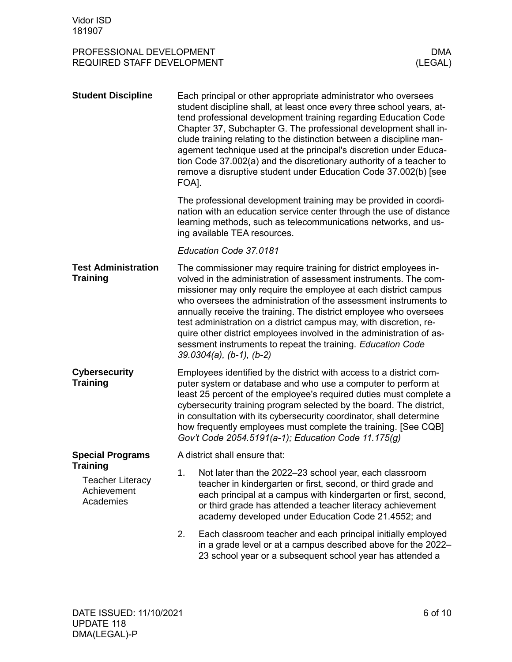| <b>Student Discipline</b>                                       | Each principal or other appropriate administrator who oversees<br>student discipline shall, at least once every three school years, at-<br>tend professional development training regarding Education Code<br>Chapter 37, Subchapter G. The professional development shall in-<br>clude training relating to the distinction between a discipline man-<br>agement technique used at the principal's discretion under Educa-<br>tion Code 37.002(a) and the discretionary authority of a teacher to<br>remove a disruptive student under Education Code 37.002(b) [see<br>FOA].               |  |  |
|-----------------------------------------------------------------|----------------------------------------------------------------------------------------------------------------------------------------------------------------------------------------------------------------------------------------------------------------------------------------------------------------------------------------------------------------------------------------------------------------------------------------------------------------------------------------------------------------------------------------------------------------------------------------------|--|--|
|                                                                 | The professional development training may be provided in coordi-<br>nation with an education service center through the use of distance<br>learning methods, such as telecommunications networks, and us-<br>ing available TEA resources.                                                                                                                                                                                                                                                                                                                                                    |  |  |
|                                                                 | Education Code 37.0181                                                                                                                                                                                                                                                                                                                                                                                                                                                                                                                                                                       |  |  |
| <b>Test Administration</b><br><b>Training</b>                   | The commissioner may require training for district employees in-<br>volved in the administration of assessment instruments. The com-<br>missioner may only require the employee at each district campus<br>who oversees the administration of the assessment instruments to<br>annually receive the training. The district employee who oversees<br>test administration on a district campus may, with discretion, re-<br>quire other district employees involved in the administration of as-<br>sessment instruments to repeat the training. Education Code<br>$39.0304(a)$ , (b-1), (b-2) |  |  |
| <b>Cybersecurity</b><br><b>Training</b>                         | Employees identified by the district with access to a district com-<br>puter system or database and who use a computer to perform at<br>least 25 percent of the employee's required duties must complete a<br>cybersecurity training program selected by the board. The district,<br>in consultation with its cybersecurity coordinator, shall determine<br>how frequently employees must complete the training. [See CQB]<br>Gov't Code 2054.5191(a-1); Education Code 11.175(g)                                                                                                            |  |  |
| <b>Special Programs</b>                                         | A district shall ensure that:                                                                                                                                                                                                                                                                                                                                                                                                                                                                                                                                                                |  |  |
| Training<br><b>Teacher Literacy</b><br>Achievement<br>Academies | 1.<br>Not later than the 2022-23 school year, each classroom<br>teacher in kindergarten or first, second, or third grade and<br>each principal at a campus with kindergarten or first, second,<br>or third grade has attended a teacher literacy achievement<br>academy developed under Education Code 21.4552; and                                                                                                                                                                                                                                                                          |  |  |
|                                                                 | 2.<br>Each classroom teacher and each principal initially employed<br>in a grade level or at a campus described above for the 2022-<br>23 school year or a subsequent school year has attended a                                                                                                                                                                                                                                                                                                                                                                                             |  |  |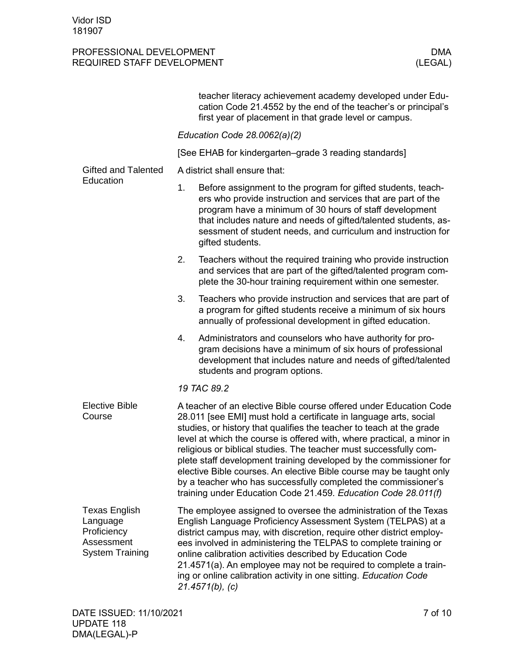|                                                                                         | teacher literacy achievement academy developed under Edu-<br>cation Code 21.4552 by the end of the teacher's or principal's<br>first year of placement in that grade level or campus.                                                                                                                                                                                                                                                                                                                                                                                                                                                           |  |  |  |
|-----------------------------------------------------------------------------------------|-------------------------------------------------------------------------------------------------------------------------------------------------------------------------------------------------------------------------------------------------------------------------------------------------------------------------------------------------------------------------------------------------------------------------------------------------------------------------------------------------------------------------------------------------------------------------------------------------------------------------------------------------|--|--|--|
|                                                                                         | Education Code 28.0062(a)(2)                                                                                                                                                                                                                                                                                                                                                                                                                                                                                                                                                                                                                    |  |  |  |
|                                                                                         | [See EHAB for kindergarten–grade 3 reading standards]                                                                                                                                                                                                                                                                                                                                                                                                                                                                                                                                                                                           |  |  |  |
| <b>Gifted and Talented</b><br>Education                                                 | A district shall ensure that:                                                                                                                                                                                                                                                                                                                                                                                                                                                                                                                                                                                                                   |  |  |  |
|                                                                                         | 1.<br>Before assignment to the program for gifted students, teach-<br>ers who provide instruction and services that are part of the<br>program have a minimum of 30 hours of staff development<br>that includes nature and needs of gifted/talented students, as-<br>sessment of student needs, and curriculum and instruction for<br>gifted students.                                                                                                                                                                                                                                                                                          |  |  |  |
|                                                                                         | Teachers without the required training who provide instruction<br>2.<br>and services that are part of the gifted/talented program com-<br>plete the 30-hour training requirement within one semester.                                                                                                                                                                                                                                                                                                                                                                                                                                           |  |  |  |
|                                                                                         | 3.<br>Teachers who provide instruction and services that are part of<br>a program for gifted students receive a minimum of six hours<br>annually of professional development in gifted education.                                                                                                                                                                                                                                                                                                                                                                                                                                               |  |  |  |
|                                                                                         | 4.<br>Administrators and counselors who have authority for pro-<br>gram decisions have a minimum of six hours of professional<br>development that includes nature and needs of gifted/talented<br>students and program options.                                                                                                                                                                                                                                                                                                                                                                                                                 |  |  |  |
|                                                                                         | 19 TAC 89.2                                                                                                                                                                                                                                                                                                                                                                                                                                                                                                                                                                                                                                     |  |  |  |
| <b>Elective Bible</b><br>Course                                                         | A teacher of an elective Bible course offered under Education Code<br>28.011 [see EMI] must hold a certificate in language arts, social<br>studies, or history that qualifies the teacher to teach at the grade<br>level at which the course is offered with, where practical, a minor in<br>religious or biblical studies. The teacher must successfully com-<br>plete staff development training developed by the commissioner for<br>elective Bible courses. An elective Bible course may be taught only<br>by a teacher who has successfully completed the commissioner's<br>training under Education Code 21.459. Education Code 28.011(f) |  |  |  |
| <b>Texas English</b><br>Language<br>Proficiency<br>Assessment<br><b>System Training</b> | The employee assigned to oversee the administration of the Texas<br>English Language Proficiency Assessment System (TELPAS) at a<br>district campus may, with discretion, require other district employ-<br>ees involved in administering the TELPAS to complete training or<br>online calibration activities described by Education Code<br>21.4571(a). An employee may not be required to complete a train-<br>ing or online calibration activity in one sitting. Education Code<br>$21.4571(b)$ , (c)                                                                                                                                        |  |  |  |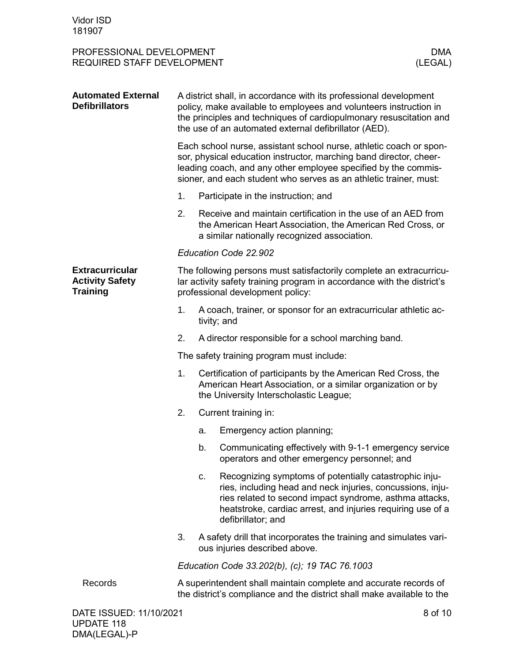| <b>Automated External</b><br><b>Defibrillators</b>                  | A district shall, in accordance with its professional development<br>policy, make available to employees and volunteers instruction in<br>the principles and techniques of cardiopulmonary resuscitation and<br>the use of an automated external defibrillator (AED).           |                                                                                                                                                                       |                                                                                                                                                                                                                                                                      |  |
|---------------------------------------------------------------------|---------------------------------------------------------------------------------------------------------------------------------------------------------------------------------------------------------------------------------------------------------------------------------|-----------------------------------------------------------------------------------------------------------------------------------------------------------------------|----------------------------------------------------------------------------------------------------------------------------------------------------------------------------------------------------------------------------------------------------------------------|--|
|                                                                     | Each school nurse, assistant school nurse, athletic coach or spon-<br>sor, physical education instructor, marching band director, cheer-<br>leading coach, and any other employee specified by the commis-<br>sioner, and each student who serves as an athletic trainer, must: |                                                                                                                                                                       |                                                                                                                                                                                                                                                                      |  |
|                                                                     | 1.                                                                                                                                                                                                                                                                              | Participate in the instruction; and                                                                                                                                   |                                                                                                                                                                                                                                                                      |  |
|                                                                     | 2.                                                                                                                                                                                                                                                                              |                                                                                                                                                                       | Receive and maintain certification in the use of an AED from<br>the American Heart Association, the American Red Cross, or<br>a similar nationally recognized association.                                                                                           |  |
|                                                                     | Education Code 22.902                                                                                                                                                                                                                                                           |                                                                                                                                                                       |                                                                                                                                                                                                                                                                      |  |
| <b>Extracurricular</b><br><b>Activity Safety</b><br><b>Training</b> | The following persons must satisfactorily complete an extracurricu-<br>lar activity safety training program in accordance with the district's<br>professional development policy:                                                                                               |                                                                                                                                                                       |                                                                                                                                                                                                                                                                      |  |
|                                                                     | 1.                                                                                                                                                                                                                                                                              | A coach, trainer, or sponsor for an extracurricular athletic ac-<br>tivity; and                                                                                       |                                                                                                                                                                                                                                                                      |  |
|                                                                     | 2.                                                                                                                                                                                                                                                                              | A director responsible for a school marching band.                                                                                                                    |                                                                                                                                                                                                                                                                      |  |
|                                                                     | The safety training program must include:                                                                                                                                                                                                                                       |                                                                                                                                                                       |                                                                                                                                                                                                                                                                      |  |
|                                                                     | 1.                                                                                                                                                                                                                                                                              | Certification of participants by the American Red Cross, the<br>American Heart Association, or a similar organization or by<br>the University Interscholastic League; |                                                                                                                                                                                                                                                                      |  |
|                                                                     | 2.                                                                                                                                                                                                                                                                              |                                                                                                                                                                       | Current training in:                                                                                                                                                                                                                                                 |  |
|                                                                     |                                                                                                                                                                                                                                                                                 | a.                                                                                                                                                                    | Emergency action planning;                                                                                                                                                                                                                                           |  |
|                                                                     |                                                                                                                                                                                                                                                                                 | b.                                                                                                                                                                    | Communicating effectively with 9-1-1 emergency service<br>operators and other emergency personnel; and                                                                                                                                                               |  |
|                                                                     |                                                                                                                                                                                                                                                                                 | c.                                                                                                                                                                    | Recognizing symptoms of potentially catastrophic inju-<br>ries, including head and neck injuries, concussions, inju-<br>ries related to second impact syndrome, asthma attacks,<br>heatstroke, cardiac arrest, and injuries requiring use of a<br>defibrillator; and |  |
|                                                                     | 3.                                                                                                                                                                                                                                                                              |                                                                                                                                                                       | A safety drill that incorporates the training and simulates vari-<br>ous injuries described above.                                                                                                                                                                   |  |
|                                                                     | Education Code 33.202(b), (c); 19 TAC 76.1003                                                                                                                                                                                                                                   |                                                                                                                                                                       |                                                                                                                                                                                                                                                                      |  |
| Records                                                             | A superintendent shall maintain complete and accurate records of<br>the district's compliance and the district shall make available to the                                                                                                                                      |                                                                                                                                                                       |                                                                                                                                                                                                                                                                      |  |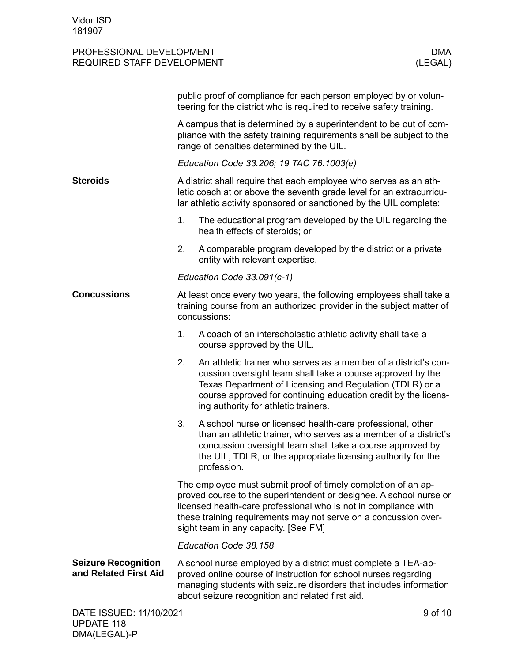|                                                     | public proof of compliance for each person employed by or volun-<br>teering for the district who is required to receive safety training.                                                                                                                                                                          |                                                                                                                                                                                                                                                                                                     |  |  |
|-----------------------------------------------------|-------------------------------------------------------------------------------------------------------------------------------------------------------------------------------------------------------------------------------------------------------------------------------------------------------------------|-----------------------------------------------------------------------------------------------------------------------------------------------------------------------------------------------------------------------------------------------------------------------------------------------------|--|--|
|                                                     | A campus that is determined by a superintendent to be out of com-<br>pliance with the safety training requirements shall be subject to the<br>range of penalties determined by the UIL.                                                                                                                           |                                                                                                                                                                                                                                                                                                     |  |  |
|                                                     | Education Code 33.206; 19 TAC 76.1003(e)                                                                                                                                                                                                                                                                          |                                                                                                                                                                                                                                                                                                     |  |  |
| <b>Steroids</b>                                     | A district shall require that each employee who serves as an ath-<br>letic coach at or above the seventh grade level for an extracurricu-<br>lar athletic activity sponsored or sanctioned by the UIL complete:                                                                                                   |                                                                                                                                                                                                                                                                                                     |  |  |
|                                                     | 1.                                                                                                                                                                                                                                                                                                                | The educational program developed by the UIL regarding the<br>health effects of steroids; or                                                                                                                                                                                                        |  |  |
|                                                     | 2.                                                                                                                                                                                                                                                                                                                | A comparable program developed by the district or a private<br>entity with relevant expertise.                                                                                                                                                                                                      |  |  |
|                                                     | Education Code 33.091(c-1)                                                                                                                                                                                                                                                                                        |                                                                                                                                                                                                                                                                                                     |  |  |
| <b>Concussions</b>                                  | At least once every two years, the following employees shall take a<br>training course from an authorized provider in the subject matter of<br>concussions:                                                                                                                                                       |                                                                                                                                                                                                                                                                                                     |  |  |
|                                                     | 1.                                                                                                                                                                                                                                                                                                                | A coach of an interscholastic athletic activity shall take a<br>course approved by the UIL.                                                                                                                                                                                                         |  |  |
|                                                     | 2.                                                                                                                                                                                                                                                                                                                | An athletic trainer who serves as a member of a district's con-<br>cussion oversight team shall take a course approved by the<br>Texas Department of Licensing and Regulation (TDLR) or a<br>course approved for continuing education credit by the licens-<br>ing authority for athletic trainers. |  |  |
|                                                     | 3.                                                                                                                                                                                                                                                                                                                | A school nurse or licensed health-care professional, other<br>than an athletic trainer, who serves as a member of a district's<br>concussion oversight team shall take a course approved by<br>the UIL, TDLR, or the appropriate licensing authority for the<br>profession.                         |  |  |
|                                                     | The employee must submit proof of timely completion of an ap-<br>proved course to the superintendent or designee. A school nurse or<br>licensed health-care professional who is not in compliance with<br>these training requirements may not serve on a concussion over-<br>sight team in any capacity. [See FM] |                                                                                                                                                                                                                                                                                                     |  |  |
|                                                     | Education Code 38.158                                                                                                                                                                                                                                                                                             |                                                                                                                                                                                                                                                                                                     |  |  |
| <b>Seizure Recognition</b><br>and Related First Aid | A school nurse employed by a district must complete a TEA-ap-<br>proved online course of instruction for school nurses regarding<br>managing students with seizure disorders that includes information<br>about seizure recognition and related first aid.                                                        |                                                                                                                                                                                                                                                                                                     |  |  |
| DATE ISSUED: 11/10/2021                             |                                                                                                                                                                                                                                                                                                                   | 9 of 10                                                                                                                                                                                                                                                                                             |  |  |